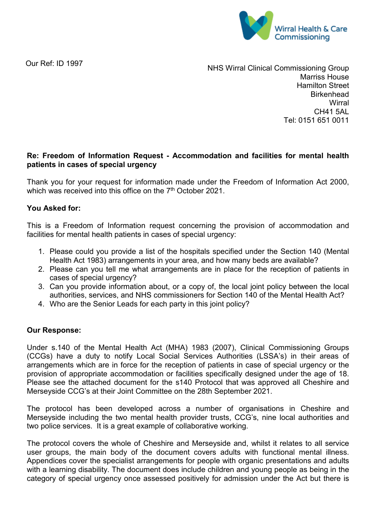

Our Ref: ID 1997

NHS Wirral Clinical Commissioning Group Marriss House Hamilton Street **Birkenhead Wirral** CH41 5AL Tel: 0151 651 0011

## **Re: Freedom of Information Request - Accommodation and facilities for mental health patients in cases of special urgency**

Thank you for your request for information made under the Freedom of Information Act 2000, which was received into this office on the 7<sup>th</sup> October 2021.

## **You Asked for:**

This is a Freedom of Information request concerning the provision of accommodation and facilities for mental health patients in cases of special urgency:

- 1. Please could you provide a list of the hospitals specified under the Section 140 (Mental Health Act 1983) arrangements in your area, and how many beds are available?
- 2. Please can you tell me what arrangements are in place for the reception of patients in cases of special urgency?
- 3. Can you provide information about, or a copy of, the local joint policy between the local authorities, services, and NHS commissioners for Section 140 of the Mental Health Act?
- 4. Who are the Senior Leads for each party in this joint policy?

## **Our Response:**

Under s.140 of the Mental Health Act (MHA) 1983 (2007), Clinical Commissioning Groups (CCGs) have a duty to notify Local Social Services Authorities (LSSA's) in their areas of arrangements which are in force for the reception of patients in case of special urgency or the provision of appropriate accommodation or facilities specifically designed under the age of 18. Please see the attached document for the s140 Protocol that was approved all Cheshire and Merseyside CCG's at their Joint Committee on the 28th September 2021.

The protocol has been developed across a number of organisations in Cheshire and Merseyside including the two mental health provider trusts, CCG's, nine local authorities and two police services. It is a great example of collaborative working.

The protocol covers the whole of Cheshire and Merseyside and, whilst it relates to all service user groups, the main body of the document covers adults with functional mental illness. Appendices cover the specialist arrangements for people with organic presentations and adults with a learning disability. The document does include children and young people as being in the category of special urgency once assessed positively for admission under the Act but there is